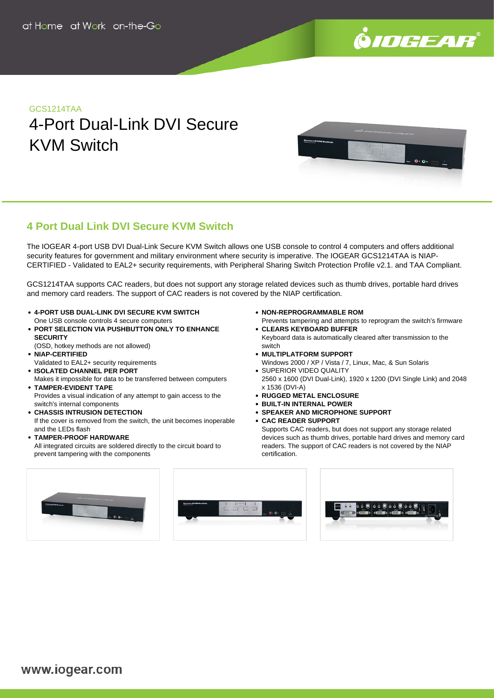

## GCS1214TAA

# 4-Port Dual-Link DVI Secure KVM Switch



## **4 Port Dual Link DVI Secure KVM Switch**

The IOGEAR 4-port USB DVI Dual-Link Secure KVM Switch allows one USB console to control 4 computers and offers additional security features for government and military environment where security is imperative. The IOGEAR GCS1214TAA is NIAP-CERTIFIED - Validated to EAL2+ security requirements, with Peripheral Sharing Switch Protection Profile v2.1. and TAA Compliant.

GCS1214TAA supports CAC readers, but does not support any storage related devices such as thumb drives, portable hard drives and memory card readers. The support of CAC readers is not covered by the NIAP certification.

- **4-PORT USB DUAL-LINK DVI SECURE KVM SWITCH** One USB console controls 4 secure computers
- **PORT SELECTION VIA PUSHBUTTON ONLY TO ENHANCE SECURITY**
- (OSD, hotkey methods are not allowed) **NIAP-CERTIFIED**
- Validated to EAL2+ security requirements
- **ISOLATED CHANNEL PER PORT** Makes it impossible for data to be transferred between computers
- **TAMPER-EVIDENT TAPE** Provides a visual indication of any attempt to gain access to the
- switch's internal components
- **CHASSIS INTRUSION DETECTION** If the cover is removed from the switch, the unit becomes inoperable and the LEDs flash
- **TAMPER-PROOF HARDWARE** All integrated circuits are soldered directly to the circuit board to prevent tampering with the components
- **NON-REPROGRAMMABLE ROM**
- Prevents tampering and attempts to reprogram the switch's firmware **CLEARS KEYBOARD BUFFER** Keyboard data is automatically cleared after transmission to the
- switch **MULTIPLATFORM SUPPORT**
- Windows 2000 / XP / Vista / 7, Linux, Mac, & Sun Solaris **SUPERIOR VIDEO QUALITY**
- 2560 x 1600 (DVI Dual-Link), 1920 x 1200 (DVI Single Link) and 2048 x 1536 (DVI-A)
- **RUGGED METAL ENCLOSURE**
- **BUILT-IN INTERNAL POWER**
- **SPEAKER AND MICROPHONE SUPPORT**
- **CAC READER SUPPORT**

Supports CAC readers, but does not support any storage related devices such as thumb drives, portable hard drives and memory card readers. The support of CAC readers is not covered by the NIAP certification.





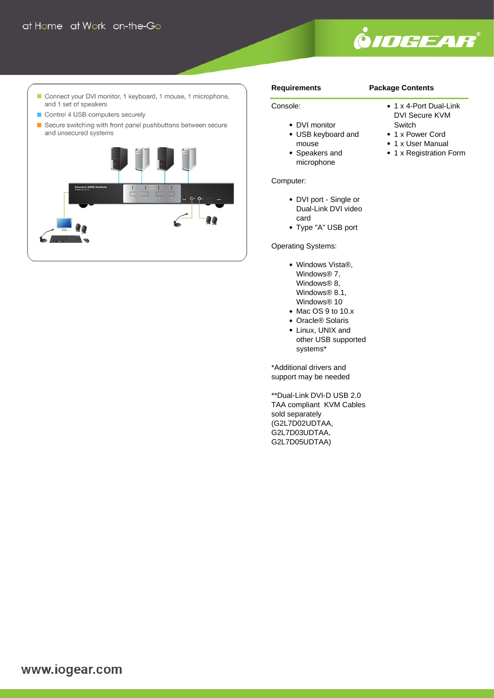

- Connect your DVI monitor, 1 keyboard, 1 mouse, 1 microphone, and 1 set of speakers
- Control 4 USB computers securely
- Secure switching with front panel pushbuttons between secure and unsecured systems



### **Requirements**

Console:

## **Package Contents**

### • 1 x 4-Port Dual-Link DVI Secure KVM

- DVI monitor
- USB keyboard and mouse
- Speakers and microphone

## Computer:

- DVI port Single or Dual-Link DVI video card
- Type "A" USB port

## Operating Systems:

- Windows Vista®, Windows® 7, Windows® 8, Windows<sup>®</sup> 8.1, Windows® 10
- Mac OS 9 to 10.x
- Oracle<sup>®</sup> Solaris
- Linux, UNIX and other USB supported systems\*

\*Additional drivers and support may be needed

\*\*Dual-Link DVI-D USB 2.0 TAA compliant KVM Cables sold separately (G2L7D02UDTAA, G2L7D03UDTAA, G2L7D05UDTAA)

- **Switch** • 1 x Power Cord
- 1 x User Manual
- 1 x Registration Form